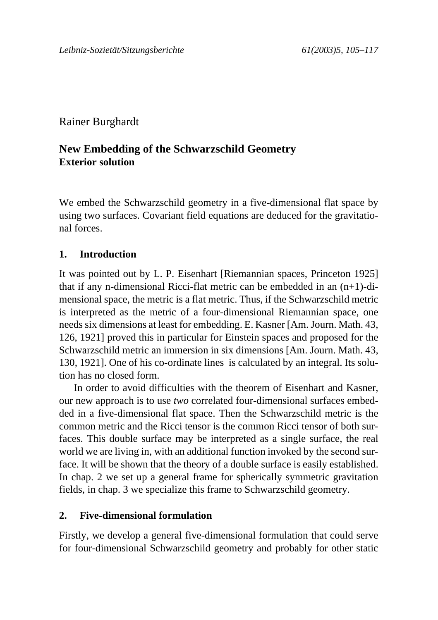# Rainer Burghardt

# **New Embedding of the Schwarzschild Geometry Exterior solution**

We embed the Schwarzschild geometry in a five-dimensional flat space by using two surfaces. Covariant field equations are deduced for the gravitational forces.

### **1. Introduction**

It was pointed out by L. P. Eisenhart [Riemannian spaces, Princeton 1925] that if any n-dimensional Ricci-flat metric can be embedded in an (n+1)-dimensional space, the metric is a flat metric. Thus, if the Schwarzschild metric is interpreted as the metric of a four-dimensional Riemannian space, one needs six dimensions at least for embedding. E. Kasner [Am. Journ. Math. 43, 126, 1921] proved this in particular for Einstein spaces and proposed for the Schwarzschild metric an immersion in six dimensions [Am. Journ. Math. 43, 130, 1921]. One of his co-ordinate lines is calculated by an integral. Its solution has no closed form.

In order to avoid difficulties with the theorem of Eisenhart and Kasner, our new approach is to use *two* correlated four-dimensional surfaces embedded in a five-dimensional flat space. Then the Schwarzschild metric is the common metric and the Ricci tensor is the common Ricci tensor of both surfaces. This double surface may be interpreted as a single surface, the real world we are living in, with an additional function invoked by the second surface. It will be shown that the theory of a double surface is easily established. In chap. 2 we set up a general frame for spherically symmetric gravitation fields, in chap. 3 we specialize this frame to Schwarzschild geometry.

#### **2. Five-dimensional formulation**

Firstly, we develop a general five-dimensional formulation that could serve for four-dimensional Schwarzschild geometry and probably for other static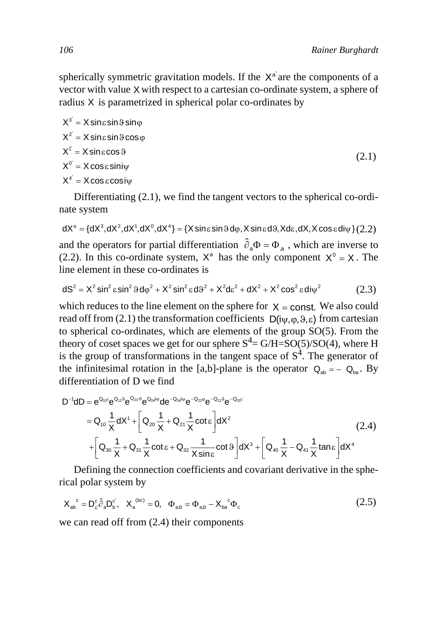spherically symmetric gravitation models. If the  $X^{\alpha'}$  are the components of a vector with value X with respect to a cartesian co-ordinate system, a sphere of radius X is parametrized in spherical polar co-ordinates by

$$
X^{3'} = X \sin \varepsilon \sin \vartheta \sin \varphi
$$
  
\n
$$
X^{2'} = X \sin \varepsilon \sin \vartheta \cos \varphi
$$
  
\n
$$
X^{1'} = X \sin \varepsilon \cos \vartheta
$$
  
\n
$$
X^{0'} = X \cos \varepsilon \sin \psi
$$
  
\n
$$
X^{4'} = X \cos \varepsilon \cos \psi
$$
  
\n(2.1)

Differentiating (2.1), we find the tangent vectors to the spherical co-ordinate system

and the operators for partial differentiation  $\hat{\partial}_a \Phi = \Phi_{a}$ , which are inverse to (2.2). In this co-ordinate system,  $X^a$  has the only component  $X^0 = X$ . The line element in these co-ordinates is  $\mathsf{dX}^\mathsf{a} = \{\mathsf{dX}^\mathsf{3},\mathsf{dX}^\mathsf{2},\mathsf{dX}^\mathsf{1},\mathsf{dX}^\mathsf{0},\mathsf{dX}^\mathsf{4}\} = \{\mathsf{X}\sin\mathsf{e}\sin\mathsf{9}\,\mathsf{d}\phi,\mathsf{X}\sin\mathsf{e}\,\mathsf{d}\mathsf{9},\mathsf{X}\,\mathsf{d}\mathsf{e},\mathsf{d}\mathsf{X},\mathsf{X}\cos\mathsf{e}\,\mathsf{d}\mathsf{i}\psi\}$   $(2.2)$ 

$$
dS2 = X2 sin2 ε sin2 9 d\varphi2 + X2 sin2 ε dS2 + X2 dε2 + dX2 + X2 cos2 ε d\psi2
$$
 (2.3)

which reduces to the line element on the sphere for  $X = \text{const.}$  We also could read off from (2.1) the transformation coefficients  $D(i\psi, \varphi, \vartheta, \varepsilon)$  from cartesian to spherical co-ordinates, which are elements of the group SO(5). From the theory of coset spaces we get for our sphere  $S^4 = G/H = SO(5)/SO(4)$ , where H is the group of transformations in the tangent space of  $S<sup>4</sup>$ . The generator of the infinitesimal rotation in the [a,b]-plane is the operator  $Q_{ab} = -Q_{ba}$ . By differentiation of D we find

$$
D^{-1}dD = e^{\Omega_{0}F}e^{\Omega_{12}\theta}e^{\Omega_{23}\phi}e^{\Omega_{04}i\psi}de^{-\Omega_{04}i\psi}e^{-\Omega_{23}\phi}e^{-\Omega_{12}\theta}e^{-\Omega_{06}k}
$$
  
\n
$$
= \Omega_{10}\frac{1}{X}dX^{1} + \left[\Omega_{20}\frac{1}{X} + \Omega_{21}\frac{1}{X}\cot\epsilon\right]dX^{2}
$$
  
\n
$$
+ \left[\Omega_{30}\frac{1}{X} + \Omega_{31}\frac{1}{X}\cot\epsilon + \Omega_{32}\frac{1}{X\sin\epsilon}\cot\vartheta\right]dX^{3} + \left[\Omega_{40}\frac{1}{X} - \Omega_{41}\frac{1}{X}\tan\epsilon\right]dX^{4}
$$
\n(2.4)

Defining the connection coefficients and covariant derivative in the spherical polar system by

$$
X_{ab}^{\ c} = D_c^c \hat{\partial}_a D_b^{c'}, \quad X_a^{\ (bc)} = 0, \quad \Phi_{ab} = \Phi_{ab} - X_{ba}^{\ c} \Phi_c \tag{2.5}
$$

we can read off from (2.4) their components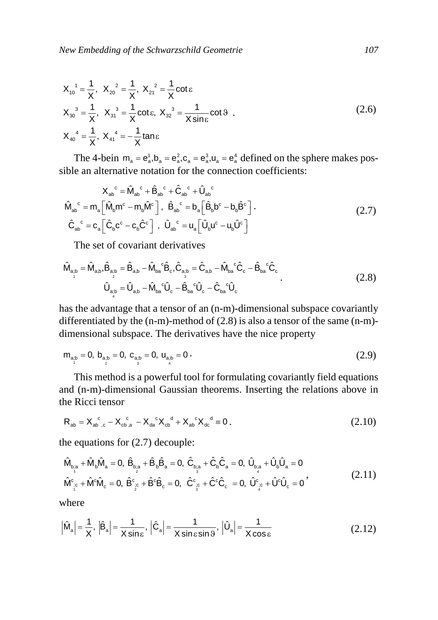$$
X_{10}^{1} = \frac{1}{X}, \ X_{20}^{2} = \frac{1}{X}, \ X_{21}^{2} = \frac{1}{X} \cot \epsilon
$$
  
\n
$$
X_{30}^{3} = \frac{1}{X}, \ X_{31}^{3} = \frac{1}{X} \cot \epsilon, \ X_{32}^{3} = \frac{1}{X \sin \epsilon} \cot \theta
$$
  
\n
$$
X_{40}^{4} = \frac{1}{X}, \ X_{41}^{4} = -\frac{1}{X} \tan \epsilon
$$
\n(2.6)

The 4-bein  $m_a = e_a^1, b_a = e_a^2, c_a = e_a^3, u_a = e_a^4$  defined on the sphere makes possible an alternative notation for the connection coefficients:

$$
X_{ab}^c = \hat{M}_{ab}^c + \hat{B}_{ab}^c + \hat{C}_{ab}^c + \hat{U}_{ab}^c
$$
  

$$
\hat{M}_{ab}^c = m_a \left[ \hat{M}_b m^c - m_b \hat{M}^c \right], \quad \hat{B}_{ab}^c = b_a \left[ \hat{B}_b b^c - b_b \hat{B}^c \right].
$$
  

$$
\hat{C}_{ab}^c = c_a \left[ \hat{C}_b c^c - c_b \hat{C}^c \right], \quad \hat{U}_{ab}^c = u_a \left[ \hat{U}_b u^c - u_b \hat{U}^c \right]
$$
  
(2.7)

The set of covariant derivatives

$$
\hat{\mathbf{M}}_{a,b} = \hat{\mathbf{M}}_{a,b} \hat{\mathbf{B}}_{a,b} = \hat{\mathbf{B}}_{a,b} - \hat{\mathbf{M}}_{ba}{}^c \hat{\mathbf{B}}_c, \hat{\mathbf{C}}_{a,b} = \hat{\mathbf{C}}_{a,b} - \hat{\mathbf{M}}_{ba}{}^c \hat{\mathbf{C}}_c - \hat{\mathbf{B}}_{ba}{}^c \hat{\mathbf{C}}_c
$$
\n
$$
\hat{\mathbf{U}}_{a,b} = \hat{\mathbf{U}}_{a,b} - \hat{\mathbf{M}}_{ba}{}^c \hat{\mathbf{U}}_c - \hat{\mathbf{B}}_{ba}{}^c \hat{\mathbf{U}}_c - \hat{\mathbf{C}}_{ba}{}^c \hat{\mathbf{U}}_c
$$
\n(2.8)

has the advantage that a tensor of an (n-m)-dimensional subspace covariantly differentiated by the (n-m)-method of (2.8) is also a tensor of the same (n-m) dimensional subspace. The derivatives have the nice property

$$
m_{a_i b} = 0, b_{a_i b} = 0, c_{a_i b} = 0, u_{a_i b} = 0.
$$
\n(2.9)

This method is a powerful tool for formulating covariantly field equations and (n-m)-dimensional Gaussian theorems. Inserting the relations above in the Ricci tensor

$$
R_{ab} = X_{ab}^c{}_{c} - X_{cb}^c{}_{a} - X_{da}^c X_{cb}^d + X_{ab}^c X_{dc}^d = 0.
$$
 (2.10)

the equations for (2.7) decouple:

$$
\begin{array}{l} \hat{\mathsf{M}}_{b_{\hat{i}a}} + \hat{\mathsf{M}}_{b}\hat{\mathsf{M}}_{a} = 0, \; \hat{\mathsf{B}}_{b_{\hat{i}a}} + \hat{\mathsf{B}}_{b}\hat{\mathsf{B}}_{a} = 0, \; \hat{\mathsf{C}}_{b_{\hat{i}a}} + \hat{\mathsf{C}}_{b}\hat{\mathsf{C}}_{a} = 0, \; \hat{\mathsf{U}}_{b_{\hat{i}a}} + \hat{\mathsf{U}}_{b}\hat{\mathsf{U}}_{a} = 0 \\ \hat{\mathsf{M}}_{\hat{i}^c}^c + \hat{\mathsf{M}}^c \hat{\mathsf{M}}_c = 0, \; \hat{\mathsf{B}}_{\hat{i}^c}^c + \hat{\mathsf{B}}^c \hat{\mathsf{B}}_c = 0, \; \hat{\mathsf{C}}_{\hat{i}^c}^c + \hat{\mathsf{C}}^c \hat{\mathsf{C}}_c = 0, \; \hat{\mathsf{U}}_{\hat{i}^c}^c + \hat{\mathsf{U}}^c \hat{\mathsf{U}}_c = 0 \end{array} \tag{2.11}
$$

where

$$
\left|\hat{M}_a\right| = \frac{1}{X}, \left|\hat{B}_a\right| = \frac{1}{X \sin \varepsilon}, \left|\hat{C}_a\right| = \frac{1}{X \sin \varepsilon \sin \vartheta}, \left|\hat{U}_a\right| = \frac{1}{X \cos \varepsilon}
$$
(2.12)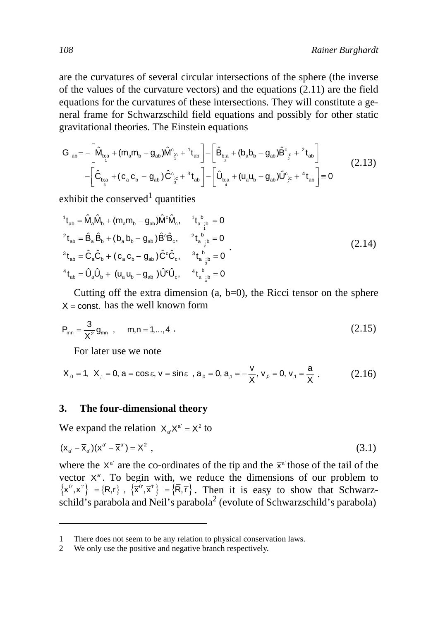are the curvatures of several circular intersections of the sphere (the inverse of the values of the curvature vectors) and the equations (2.11) are the field equations for the curvatures of these intersections. They will constitute a general frame for Schwarzschild field equations and possibly for other static gravitational theories. The Einstein equations

$$
G_{ab} = -\left[\hat{M}_{b_{c,a}^{*}} + (m_a m_b - g_{ab})\hat{M}_{\dot{c}^c}^c + {^{1}t}_{ab}\right] - \left[\hat{B}_{b_{c,a}^{*}} + (b_a b_b - g_{ab})\hat{B}_{\dot{c}^c}^c + {^{2}t}_{ab}\right] \\
-\left[\hat{C}_{b_{c,a}^{*}} + (c_a c_b - g_{ab})\hat{C}_{\dot{c}^c}^c + {^{3}t}_{ab}\right] - \left[\hat{U}_{b_{c,a}^{*}} + (u_a u_b - g_{ab})\hat{U}_{\dot{c}^c}^c + {^{4}t}_{ab}\right] = 0
$$
\n(2.13)

exhibit the conserved<sup>1</sup> quantities

$$
{}^{1}t_{ab} = \hat{M}_{a}\hat{M}_{b} + (m_{a}m_{b} - g_{ab})\hat{M}^{c}\hat{M}_{c}, \t{}^{1}t_{a}{}^{b}_{;b} = 0
$$
  
\n
$$
{}^{2}t_{ab} = \hat{B}_{a}\hat{B}_{b} + (b_{a}b_{b} - g_{ab})\hat{B}^{c}\hat{B}_{c}, \t{}^{2}t_{a}{}^{b}_{;b} = 0
$$
  
\n
$$
{}^{3}t_{ab} = \hat{C}_{a}\hat{C}_{b} + (c_{a}c_{b} - g_{ab})\hat{C}^{c}\hat{C}_{c}, \t{}^{3}t_{a}{}^{b}_{;b} = 0
$$
  
\n
$$
{}^{4}t_{ab} = \hat{U}_{a}\hat{U}_{b} + (u_{a}u_{b} - g_{ab})\hat{U}^{c}\hat{U}_{c}, \t{}^{4}t_{a}{}^{b}_{;b} = 0
$$
  
\n(2.14)

Cutting off the extra dimension  $(a, b=0)$ , the Ricci tensor on the sphere  $X = \text{const.}$  has the well known form

$$
P_{mn} = \frac{3}{X^2} g_{mn} , \qquad m, n = 1,...,4 . \tag{2.15}
$$

For later use we note

$$
X_{,0} = 1, \ X_{,1} = 0, \ a = \cos \epsilon, \ v = \sin \epsilon \ \ , \ a_{,0} = 0, \ a_{,1} = -\frac{v}{X}, \ v_{,0} = 0, \ v_{,1} = \frac{a}{X} \ . \tag{2.16}
$$

#### **3. The four-dimensional theory**

We expand the relation  $X_a X^{a'} = X^2$  to

$$
(\mathbf{x}_{a'} - \overline{\mathbf{x}}_{a'}) (\mathbf{x}^{a'} - \overline{\mathbf{x}}^{a'}) = \mathbf{X}^2 ,
$$
\n(3.1)

where the  $X^{\alpha'}$  are the co-ordinates of the tip and the  $\bar{x}^{\alpha'}$  those of the tail of the vector  $X^{\alpha'}$ . To begin with, we reduce the dimensions of our problem to . Then it is easy to show that Schwarzschild's parabola and Neil's parabola<sup>2</sup> (evolute of Schwarzschild's parabola)  $\left\{ \mathbf{x}^{\alpha},\mathbf{x}^{\dagger}\right\} =\left\{ \mathsf{R},\mathsf{r}\right\} ,\ \left\{ \overline{\mathbf{x}}^{\alpha},\overline{\mathbf{x}}^{\dagger}\right\} =\left\{ \overline{\mathsf{R}},\overline{\mathsf{r}}\right\}$ 

There does not seem to be any relation to physical conservation laws.

<sup>2</sup> We only use the positive and negative branch respectively.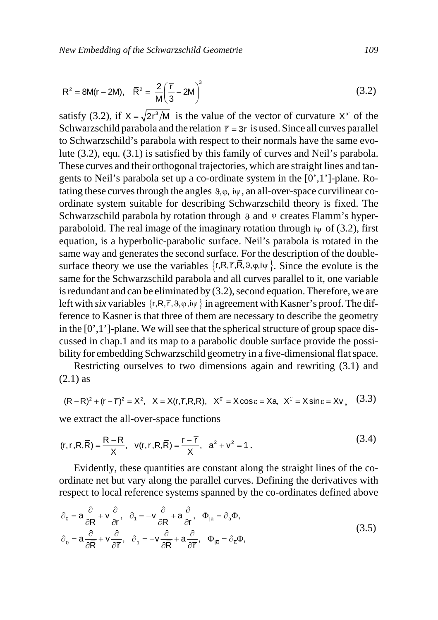$$
R^{2} = 8M(r - 2M), \quad \bar{R}^{2} = \frac{2}{M} \left(\frac{\bar{r}}{3} - 2M\right)^{3}
$$
 (3.2)

satisfy (3.2), if  $X = \sqrt{2}r^3/M$  is the value of the vector of curvature  $X^a$  of the Schwarzschild parabola and the relation  $\bar{r} = 3r$  is used. Since all curves parallel to Schwarzschild's parabola with respect to their normals have the same evolute (3.2), equ. (3.1) is satisfied by this family of curves and Neil's parabola. These curves and their orthogonal trajectories, which are straight lines and tangents to Neil's parabola set up a co-ordinate system in the [0',1']-plane. Rotating these curves through the angles  $9, \varphi$ , i $\psi$ , an all-over-space curvilinear coordinate system suitable for describing Schwarzschild theory is fixed. The Schwarzschild parabola by rotation through 9 and  $\varphi$  creates Flamm's hyperparaboloid. The real image of the imaginary rotation through  $\psi$  of (3.2), first equation, is a hyperbolic-parabolic surface. Neil's parabola is rotated in the same way and generates the second surface. For the description of the doublesurface theory we use the variables  $\{r, R, \overline{r}, R, \vartheta, \varphi, i\psi\}$ . Since the evolute is the same for the Schwarzschild parabola and all curves parallel to it, one variable is redundant and can be eliminated by (3.2), second equation. Therefore, we are left with *six* variables  $\{r, R, \overline{r}, \vartheta, \varphi, i\psi\}$  in agreement with Kasner's proof. The difference to Kasner is that three of them are necessary to describe the geometry in the [0',1']-plane. We will see that the spherical structure of group space discussed in chap.1 and its map to a parabolic double surface provide the possibility for embedding Schwarzschild geometry in a five-dimensional flat space.

Restricting ourselves to two dimensions again and rewriting (3.1) and (2.1) as

$$
(R - \overline{R})^2 + (r - \overline{r})^2 = X^2, \quad X = X(r, \overline{r}, R, \overline{R}), \quad X^0 = X \cos \epsilon = Xa, \quad X^{\dagger} = X \sin \epsilon = Xv, \quad (3.3)
$$

we extract the all-over-space functions

$$
(r, \overline{r}, R, \overline{R}) = \frac{R - \overline{R}}{X}, \quad v(r, \overline{r}, R, \overline{R}) = \frac{r - \overline{r}}{X}, \quad a^2 + v^2 = 1.
$$
 (3.4)

Evidently, these quantities are constant along the straight lines of the coordinate net but vary along the parallel curves. Defining the derivatives with respect to local reference systems spanned by the co-ordinates defined above

$$
\partial_0 = \mathbf{a} \frac{\partial}{\partial \mathbf{R}} + \mathbf{v} \frac{\partial}{\partial \mathbf{r}}, \quad \partial_1 = -\mathbf{v} \frac{\partial}{\partial \mathbf{R}} + \mathbf{a} \frac{\partial}{\partial \mathbf{r}}, \quad \Phi_{|a} = \partial_a \Phi,
$$
\n
$$
\partial_{\overline{0}} = \mathbf{a} \frac{\partial}{\partial \mathbf{R}} + \mathbf{v} \frac{\partial}{\partial \mathbf{r}}, \quad \partial_{\overline{1}} = -\mathbf{v} \frac{\partial}{\partial \mathbf{R}} + \mathbf{a} \frac{\partial}{\partial \mathbf{r}}, \quad \Phi_{|\overline{a}} = \partial_{\overline{a}} \Phi,
$$
\n(3.5)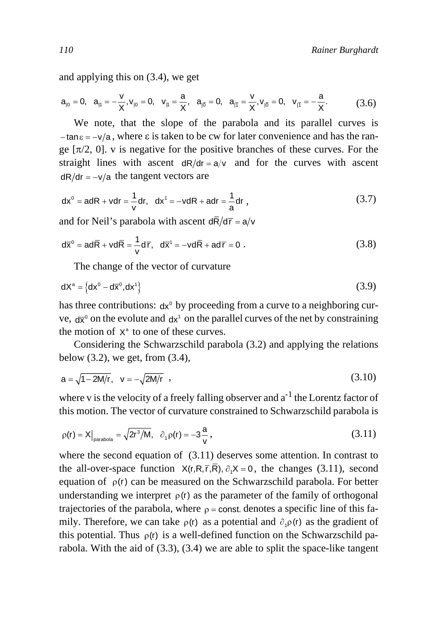and applying this on (3.4), we get

$$
a_{_{|0}}=0,\quad a_{_{|1}}=-\frac{v}{X}, v_{_{|0}}=0,\quad v_{_{|1}}=\frac{a}{X},\quad a_{_{|\overline{0}}}=0,\quad a_{_{|\overline{1}}}=\frac{v}{X}, v_{_{|\overline{0}}}=0,\quad v_{_{|\overline{1}}}=-\frac{a}{X}.\tag{3.6}
$$

We note, that the slope of the parabola and its parallel curves is  $-\tan \epsilon = -\frac{v}{a}$ , where  $\epsilon$  is taken to be cw for later convenience and has the range  $[\pi/2, 0]$ . v is negative for the positive branches of these curves. For the straight lines with ascent  $dR/dr = a/v$  and for the curves with ascent  $dR/dr = -v/a$  the tangent vectors are

$$
dx^0 = adR + vdr = \frac{1}{v}dr, dx^1 = -vdR + adr = \frac{1}{a}dr,
$$
 (3.7)

and for Neil's parabola with ascent  $d\overline{R}/d\overline{r} = a/v$ 

$$
d\overline{x}^0 = ad\overline{R} + vd\overline{R} = \frac{1}{v}d\overline{r}, \quad d\overline{x}^1 = -vd\overline{R} + ad\overline{r} = 0.
$$
 (3.8)

The change of the vector of curvature

$$
dX^{a} = \left\{ dx^{0} - d\overline{x}^{0}, dx^{1} \right\}
$$
 (3.9)

has three contributions:  $dx^0$  by proceeding from a curve to a neighboring curve,  $d\bar{x}^0$  on the evolute and  $d\mathsf{x}^1$  on the parallel curves of the net by constraining the motion of  $X^a$  to one of these curves.

Considering the Schwarzschild parabola (3.2) and applying the relations below  $(3.2)$ , we get, from  $(3.4)$ ,

$$
a = \sqrt{1 - 2M/r}, \quad v = -\sqrt{2M/r} \quad , \tag{3.10}
$$

where v is the velocity of a freely falling observer and  $a^{-1}$  the Lorentz factor of this motion. The vector of curvature constrained to Schwarzschild parabola is

$$
\rho(r) = X\big|_{\text{parabola}} = \sqrt{2r^3/M}, \quad \partial_+ \rho(r) = -3\frac{a}{v},\tag{3.11}
$$

where the second equation of (3.11) deserves some attention. In contrast to the all-over-space function  $X(r, R, \overline{r}, \overline{R})$ ,  $\partial_1 X = 0$ , the changes (3.11), second equation of  $\rho(r)$  can be measured on the Schwarzschild parabola. For better understanding we interpret  $\rho(r)$  as the parameter of the family of orthogonal trajectories of the parabola, where  $\rho$  = const. denotes a specific line of this family. Therefore, we can take  $\rho(r)$  as a potential and  $\partial_1 \rho(r)$  as the gradient of this potential. Thus  $\rho(r)$  is a well-defined function on the Schwarzschild parabola. With the aid of (3.3), (3.4) we are able to split the space-like tangent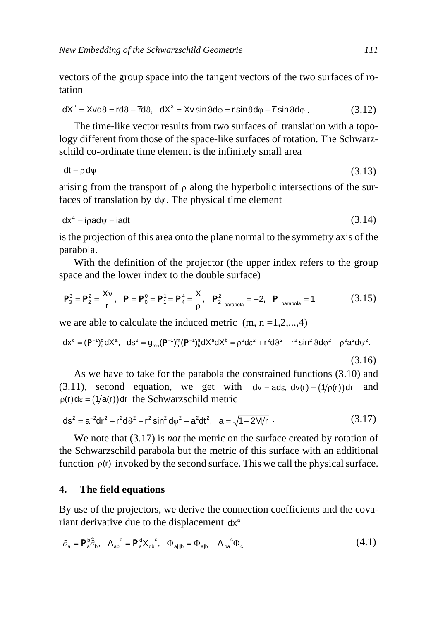vectors of the group space into the tangent vectors of the two surfaces of rotation

$$
dX^2 = Xvd9 = rd9 - \overline{r}d9, \quad dX^3 = Xv \sin 9d\varphi = r \sin 9d\varphi - \overline{r} \sin 9d\varphi \tag{3.12}
$$

The time-like vector results from two surfaces of translation with a topology different from those of the space-like surfaces of rotation. The Schwarzschild co-ordinate time element is the infinitely small area

$$
dt = \rho \, d\psi \tag{3.13}
$$

arising from the transport of  $\rho$  along the hyperbolic intersections of the surfaces of translation by  $d\psi$ . The physical time element

$$
dx^4 = i \rho a d\psi = i a d t \tag{3.14}
$$

is the projection of this area onto the plane normal to the symmetry axis of the parabola.

With the definition of the projector (the upper index refers to the group space and the lower index to the double surface)

$$
P_3^3 = P_2^2 = \frac{Xv}{r}, \quad P = P_0^0 = P_1^1 = P_4^4 = \frac{X}{\rho}, \quad P_2^2\Big|_{\text{parabola}} = -2, \quad P\Big|_{\text{parabola}} = 1 \tag{3.15}
$$

we are able to calculate the induced metric  $(m, n = 1, 2, \ldots, 4)$ 

$$
dx^c = (P^{-1})^c_a dX^a, \quad ds^2 = g_{mn} (P^{-1})^m_a (P^{-1})^n_b dX^a dX^b = \rho^2 d\epsilon^2 + r^2 d\vartheta^2 + r^2 \sin^2 \vartheta d\phi^2 - \rho^2 a^2 d\psi^2.
$$

(3.16)

As we have to take for the parabola the constrained functions (3.10) and (3.11), second equation, we get with  $dv = ad\varepsilon$ ,  $dv(r) = (1/\rho(r))dr$  and  $p(r)$ d $\epsilon = (1/a(r))$ dr the Schwarzschild metric

$$
ds^{2} = a^{-2}dr^{2} + r^{2}d\theta^{2} + r^{2}\sin^{2}d\phi^{2} - a^{2}dt^{2}, \quad a = \sqrt{1 - 2M/r}
$$
 (3.17)

We note that (3.17) is *not* the metric on the surface created by rotation of the Schwarzschild parabola but the metric of this surface with an additional function  $\rho(r)$  invoked by the second surface. This we call the physical surface.

#### **4. The field equations**

By use of the projectors, we derive the connection coefficients and the covariant derivative due to the displacement dx<sup>a</sup>

$$
\partial_{a} = P_{a}^{b} \hat{\partial}_{b}, \quad A_{ab}^{c} = P_{a}^{d} X_{ab}^{c}, \quad \Phi_{a||b} = \Phi_{a|b} - A_{ba}^{c} \Phi_{c}
$$
\n
$$
\tag{4.1}
$$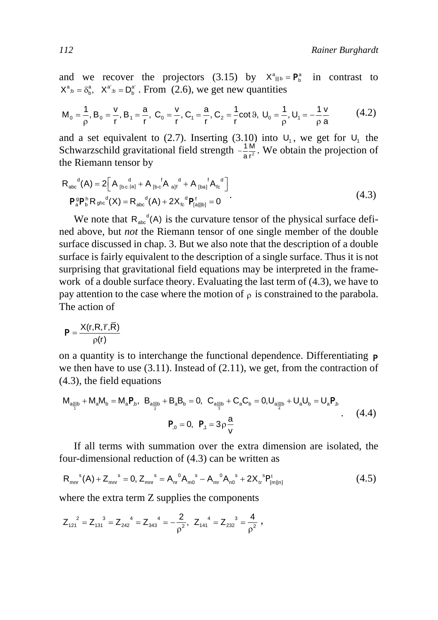and we recover the projectors (3.15) by  $X^a_{\parallel b} = P^a_b$  in contrast to  $X^a_{b} = \delta^a_b$ ,  $X^{a'}_{b} = D^{a'}_b$ . From (2.6), we get new quantities

$$
M_0 = \frac{1}{\rho}, B_0 = \frac{v}{r}, B_1 = \frac{a}{r}, C_0 = \frac{v}{r}, C_1 = \frac{a}{r}, C_2 = \frac{1}{r} \cot \theta, U_0 = \frac{1}{\rho}, U_1 = -\frac{1}{\rho} \frac{v}{a}
$$
(4.2)

and a set equivalent to (2.7). Inserting (3.10) into  $U_1$ , we get for  $U_1$  the Schwarzschild gravitational field strength  $-\frac{1}{2}$ . We obtain the projection of the Riemann tensor by −≟¦<br>ar

$$
R_{abc}^{d}(A) = 2\left[A_{[bc\,|a]}^{d} + A_{[bc}^{d}A_{a]f}^{d} + A_{[ba]}^{d}A_{bc}^{d}\right]
$$
  

$$
P_{a}^{g}P_{b}^{h}R_{ghc}^{d}(X) = R_{abc}^{d}(A) + 2X_{fc}^{d}P_{[a||b]}^{f} = 0
$$
 (4.3)

We note that  $R_{abc}^d(A)$  is the curvature tensor of the physical surface defined above, but *not* the Riemann tensor of one single member of the double surface discussed in chap. 3. But we also note that the description of a double surface is fairly equivalent to the description of a single surface. Thus it is not surprising that gravitational field equations may be interpreted in the framework of a double surface theory. Evaluating the last term of (4.3), we have to pay attention to the case where the motion of  $\rho$  is constrained to the parabola. The action of

$$
P = \frac{X(r, R, \overline{r}, \overline{R})}{\rho(r)}
$$

on a quantity is to interchange the functional dependence. Differentiating p we then have to use  $(3.11)$ . Instead of  $(2.11)$ , we get, from the contraction of (4.3), the field equations

$$
M_{a||b} + M_{a}M_{b} = M_{a}P_{b}, B_{a||b} + B_{a}B_{b} = 0, C_{a||b} + C_{a}C_{b} = 0, U_{a||b} + U_{a}U_{b} = U_{a}P_{b}
$$
  
\n
$$
P_{0} = 0, P_{,1} = 3\rho \frac{a}{v}
$$
 (4.4)

If all terms with summation over the extra dimension are isolated, the four-dimensional reduction of (4.3) can be written as

$$
R_{mn}^s(A) + Z_{mn}^s = 0, Z_{mn}^s = A_{nr}^0 A_{m0}^s - A_{nr}^0 A_{n0}^s + 2X_{tr}^s P_{[m||n]}^t
$$
\n(4.5)

where the extra term Z supplies the components

$$
Z_{121}^{\quad \ \ 2}=Z_{131}^{\quad \ 3}=Z_{242}^{\quad \ 4}=Z_{343}^{\quad \ 4}=-\frac{2}{\rho^2},\;\;Z_{141}^{\quad \ 4}=Z_{232}^{\quad \ 3}=\frac{4}{\rho^2}\;,
$$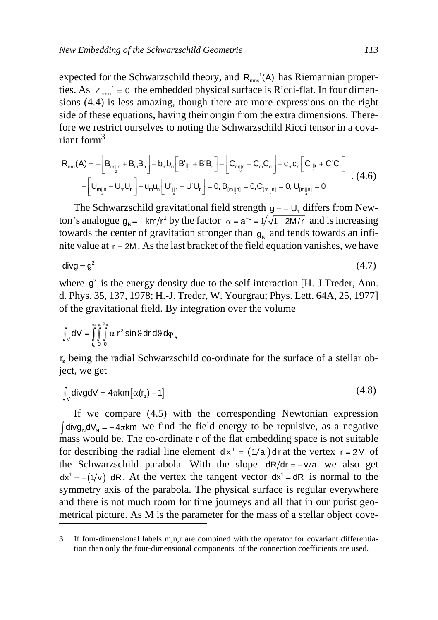expected for the Schwarzschild theory, and  $R_{mn}$ <sup>r</sup>(A) has Riemannian properties. As  $Z_{mn}^r = 0$  the embedded physical surface is Ricci-flat. In four dimensions (4.4) is less amazing, though there are more expressions on the right side of these equations, having their origin from the extra dimensions. Therefore we restrict ourselves to noting the Schwarzschild Ricci tensor in a covariant form<sup>3</sup>

$$
R_{mn}(A) = -\left[B_{m_{\frac{1}{2}n}} + B_{m}B_{n}\right] - b_{m}b_{n}\left[B_{\frac{1}{2}r}^{r} + B^{r}B_{r}\right] - \left[C_{m_{\frac{1}{3}n}} + C_{m}C_{n}\right] - c_{m}c_{n}\left[C_{\frac{1}{3}r}^{r} + C^{r}C_{r}\right]
$$
  
-
$$
\left[U_{m_{\frac{1}{4}n}} + U_{m}U_{n}\right] - u_{m}u_{n}\left[U_{\frac{1}{4}r}^{r} + U^{r}U_{r}\right] = 0, B_{[m_{\frac{1}{2}n}]} = 0, C_{[m_{\frac{1}{3}n}]} = 0, U_{[m_{\frac{1}{4}n}]} = 0
$$
 (4.6)

The Schwarzschild gravitational field strength  $g = -U_1$ , differs from Newton's analogue  $g_N = -k m/r^2$  by the factor  $\alpha = a^{-1} = 1/\sqrt{1 - 2M/r}$  and is increasing towards the center of gravitation stronger than  $g_N$  and tends towards an infinite value at  $r = 2M$ . As the last bracket of the field equation vanishes, we have

$$
divg = g^2 \tag{4.7}
$$

where  $g^2$  is the energy density due to the self-interaction [H.-J.Treder, Ann. d. Phys. 35, 137, 1978; H.-J. Treder, W. Yourgrau; Phys. Lett. 64A, 25, 1977] of the gravitational field. By integration over the volume

$$
\int_{V} dV = \int_{r_s}^{\infty} \int_{0}^{\pi} \int_{0}^{2\pi} \alpha r^2 \sin \theta dr d\theta d\phi,
$$

r<sub>s</sub> being the radial Schwarzschild co-ordinate for the surface of a stellar object, we get

$$
\int_{V} \text{divgdV} = 4\pi k m [\alpha(\mathbf{r_s}) - 1] \tag{4.8}
$$

If we compare (4.5) with the corresponding Newtonian expression  $\int$ divg<sub>N</sub>dV<sub>N</sub> = −4 $\pi$ km we find the field energy to be repulsive, as a negative mass would be. The co-ordinate r of the flat embedding space is not suitable for describing the radial line element  $dx^1 = (1/a)$  dr at the vertex  $r = 2M$  of the Schwarzschild parabola. With the slope  $dR/dr = -v/a$  we also get  $dx^1 = -(1/v)$  dR. At the vertex the tangent vector  $dx^1 = dR$  is normal to the symmetry axis of the parabola. The physical surface is regular everywhere and there is not much room for time journeys and all that in our purist geometrical picture. As M is the parameter for the mass of a stellar object cove-

<sup>3</sup> If four-dimensional labels m,n,r are combined with the operator for covariant differentiation than only the four-dimensional components of the connection coefficients are used.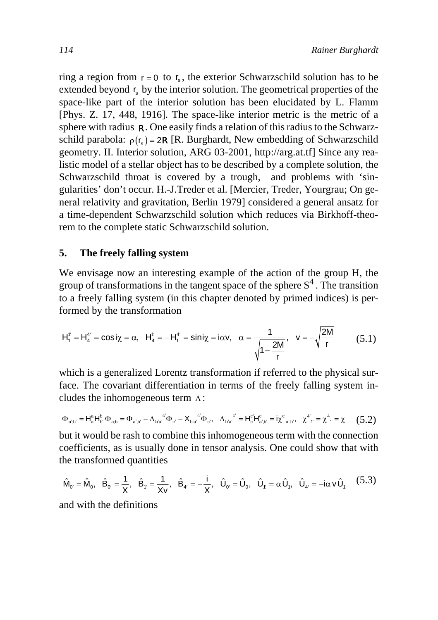ring a region from  $r = 0$  to  $r_s$ , the exterior Schwarzschild solution has to be extended beyond  $r<sub>s</sub>$  by the interior solution. The geometrical properties of the space-like part of the interior solution has been elucidated by L. Flamm [Phys. Z. 17, 448, 1916]. The space-like interior metric is the metric of a sphere with radius  $\mathsf R$ . One easily finds a relation of this radius to the Schwarzschild parabola:  $\rho(r_s) = 2R$  [R. Burghardt, New embedding of Schwarzschild geometry. II. Interior solution, ARG 03-2001, http://arg.at.tf] Since any realistic model of a stellar object has to be described by a complete solution, the Schwarzschild throat is covered by a trough, and problems with 'singularities' don't occur. H.-J.Treder et al. [Mercier, Treder, Yourgrau; On general relativity and gravitation, Berlin 1979] considered a general ansatz for a time-dependent Schwarzschild solution which reduces via Birkhoff-theorem to the complete static Schwarzschild solution.

#### **5. The freely falling system**

We envisage now an interesting example of the action of the group H, the group of transformations in the tangent space of the sphere  $S<sup>4</sup>$ . The transition to a freely falling system (in this chapter denoted by primed indices) is performed by the transformation

$$
H_1^{\nu} = H_4^{\nu} = \cos i \chi = \alpha, \quad H_4^{\nu} = -H_1^{\nu} = \sin i \chi = i \alpha v, \quad \alpha = \frac{1}{\sqrt{1 - \frac{2M}{r}}}, \quad v = -\sqrt{\frac{2M}{r}} \tag{5.1}
$$

which is a generalized Lorentz transformation if referred to the physical surface. The covariant differentiation in terms of the freely falling system includes the inhomogeneous term  $\Lambda$ :

$$
\Phi_{a'b'} = H_a^a H_b^b \Phi_{ab} = \Phi_{a'b'} - \Lambda_{b'a'}{}^{c'} \Phi_{c'} - X_{b'a'}{}^{c} \Phi_{c'},~~ \Lambda_{b'a'}{}^{c'} = H_c^c H_{a'b'}^c = i \chi^c_{~a'b'},~~ \chi^{4'}_{~\gamma} = \chi^4_{~\gamma} = \chi~~(5.2)
$$

but it would be rash to combine this inhomogeneous term with the connection coefficients, as is usually done in tensor analysis. One could show that with the transformed quantities

$$
\hat{\mathsf{M}}_{\mathsf{O}'} = \hat{\mathsf{M}}_{\mathsf{O}}, \quad \hat{\mathsf{B}}_{\mathsf{O}'} = \frac{1}{X}, \quad \hat{\mathsf{B}}_{\mathsf{f}'} = \frac{1}{X\mathsf{v}}, \quad \hat{\mathsf{B}}_{\mathsf{d}'} = -\frac{\mathsf{i}}{X}, \quad \hat{\mathsf{U}}_{\mathsf{O}'} = \hat{\mathsf{U}}_{\mathsf{O}}, \quad \hat{\mathsf{U}}_{\mathsf{f}'} = \alpha \hat{\mathsf{U}}_{\mathsf{I}}, \quad \hat{\mathsf{U}}_{\mathsf{d}'} = -\mathsf{i}\alpha \mathsf{v} \hat{\mathsf{U}}_{\mathsf{I}} \tag{5.3}
$$

and with the definitions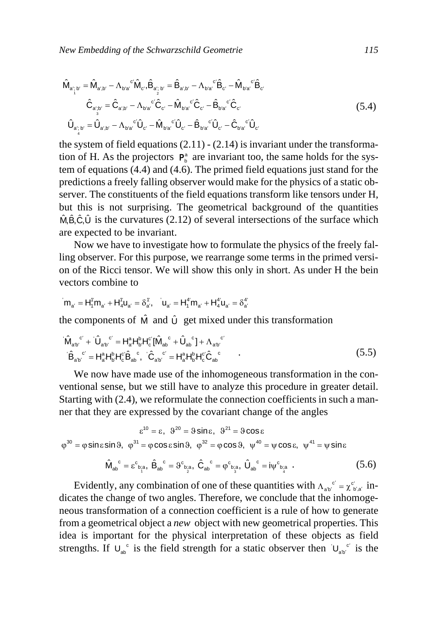$$
\hat{\mathsf{M}}_{a_{\hat{i}_{\hat{i}}}\mathsf{b}'} = \hat{\mathsf{M}}_{a_{\hat{i}}\mathsf{b}'} - \Lambda_{b_{\hat{i}}a^{\hat{c}}}\hat{\mathsf{M}}_{c}, \hat{\mathsf{B}}_{a_{\hat{i}_{\hat{i}}}\mathsf{b}'} = \hat{\mathsf{B}}_{a_{\hat{i}}\mathsf{b}'} - \Lambda_{b_{\hat{i}}a^{\hat{c}}}\hat{\mathsf{B}}_{c'} - \hat{\mathsf{M}}_{b_{\hat{i}}a^{\hat{c}}}\hat{\mathsf{B}}_{c'}
$$
\n
$$
\hat{\mathsf{C}}_{a_{\hat{i}_{\hat{j}}}\mathsf{b}'} = \hat{\mathsf{C}}_{a_{\hat{i}}\mathsf{b}'} - \Lambda_{b_{\hat{i}}a^{\hat{c}}}\hat{\mathsf{C}}_{c'} - \hat{\mathsf{M}}_{b_{\hat{i}}a^{\hat{c}}}\hat{\mathsf{C}}_{c'} - \hat{\mathsf{B}}_{b_{\hat{i}}a^{\hat{c}}}\hat{\mathsf{C}}_{c'}
$$
\n
$$
\hat{\mathsf{U}}_{a_{\hat{i}_{\hat{i}}}\mathsf{b}'} = \hat{\mathsf{U}}_{a_{\hat{i}}\mathsf{b}'} - \Lambda_{b_{\hat{i}}a^{\hat{c}}}\hat{\mathsf{U}}_{c'} - \hat{\mathsf{M}}_{b_{\hat{i}}a^{\hat{c}}}\hat{\mathsf{U}}_{c'} - \hat{\mathsf{B}}_{b_{\hat{i}}a^{\hat{c}}}\hat{\mathsf{U}}_{c'} - \hat{\mathsf{C}}_{b_{\hat{i}}a^{\hat{c}}}\hat{\mathsf{U}}_{c'}
$$
\n
$$
(5.4)
$$

the system of field equations  $(2.11) - (2.14)$  is invariant under the transformation of H. As the projectors  $P_b^a$  are invariant too, the same holds for the system of equations (4.4) and (4.6). The primed field equations just stand for the predictions a freely falling observer would make for the physics of a static observer. The constituents of the field equations transform like tensors under H, but this is not surprising. The geometrical background of the quantities  $\hat{M}, \hat{B}, \hat{C}, \hat{U}$  is the curvatures (2.12) of several intersections of the surface which are expected to be invariant.

Now we have to investigate how to formulate the physics of the freely falling observer. For this purpose, we rearrange some terms in the primed version of the Ricci tensor. We will show this only in short. As under H the bein vectors combine to

$$
m_{a'}=H_1^{\dagger}m_{a'}+H_4^{\dagger}u_{a'}=\delta_{a'}^{\dagger},\quad u_{a'}=H_1^{4'}m_{a'}+H_4^{4'}u_{a'}=\delta_{a'}^{4'}
$$

the components of  $\hat{M}$  and  $\hat{U}$  get mixed under this transformation

$$
\dot{M}_{ab}^{c'} + \dot{U}_{ab}^{c'} = H_{a'}^{a}H_{b'}^{b}H_{c}^{c'}[\hat{M}_{ab}^{c'} + \hat{U}_{ab}^{c'}] + \Lambda_{a'b}^{c'}
$$
\n
$$
\dot{B}_{ab}^{c'} = H_{a}^{a}H_{b}^{b}H_{c}^{c'}\hat{B}_{ab}^{c}, \quad \dot{C}_{a'b}^{c'} = H_{a}^{a}H_{b}^{b}H_{c}^{c'}\hat{C}_{ab}^{c}
$$
\n
$$
(5.5)
$$

We now have made use of the inhomogeneous transformation in the conventional sense, but we still have to analyze this procedure in greater detail. Starting with (2.4), we reformulate the connection coefficients in such a manner that they are expressed by the covariant change of the angles

$$
\varepsilon^{10} = \varepsilon, \ \ 9^{20} = 9 \sin \varepsilon, \ \ 9^{21} = 9 \cos \varepsilon
$$
\n
$$
\varphi^{30} = \varphi \sin \varepsilon \sin 9, \ \ \varphi^{31} = \varphi \cos \varepsilon \sin 9, \ \ \varphi^{32} = \varphi \cos 9, \ \ \psi^{40} = \psi \cos \varepsilon, \ \ \psi^{41} = \psi \sin \varepsilon
$$

$$
\hat{\mathbf{M}}_{ab}^{\ c} = \varepsilon^{c}{}_{b_{\dot{a}}^{\ c}}, \ \hat{\mathbf{B}}_{ab}^{\ c} = \vartheta^{c}{}_{b_{\dot{a}}^{\ c}}, \ \hat{\mathbf{C}}_{ab}^{\ c} = \varphi^{c}{}_{b_{\dot{a}}^{\ c}}, \ \hat{\mathbf{U}}_{ab}^{\ c} = i\psi^{c}{}_{b_{\dot{a}}^{\ c}} \ . \tag{5.6}
$$

Evidently, any combination of one of these quantities with  $\Lambda_{a b}^{\phantom{a} c'} = \chi_{b' a'}^c$  indicates the change of two angles. Therefore, we conclude that the inhomogeneous transformation of a connection coefficient is a rule of how to generate from a geometrical object a *new* object with new geometrical properties. This idea is important for the physical interpretation of these objects as field strengths. If  $U_{ab}^c$  is the field strength for a static observer then  $U_{ab}^c$  is the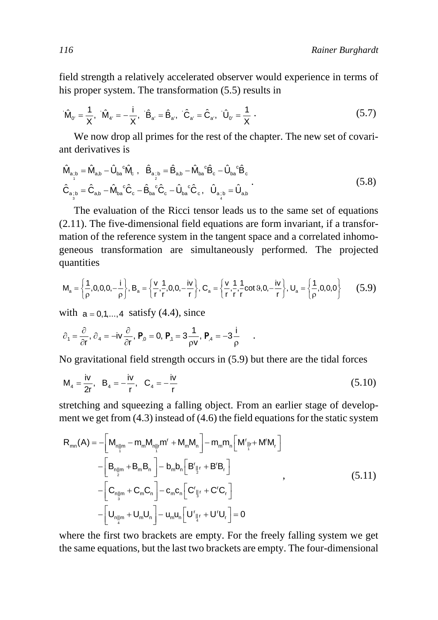field strength a relatively accelerated observer would experience in terms of his proper system. The transformation (5.5) results in

$$
\hat{\mathsf{M}}_{0'} = \frac{1}{\mathsf{X}}, \quad \hat{\mathsf{M}}_{4'} = -\frac{\mathsf{i}}{\mathsf{X}}, \quad \hat{\mathsf{B}}_{a'} = \hat{\mathsf{B}}_{a'}, \quad \hat{\mathsf{C}}_{a'} = \hat{\mathsf{C}}_{a'}, \quad \hat{\mathsf{U}}_{0'} = \frac{1}{\mathsf{X}} \tag{5.7}
$$

We now drop all primes for the rest of the chapter. The new set of covariant derivatives is

$$
\hat{\mathbf{M}}_{a_{\dot{i}}b} = \hat{\mathbf{M}}_{a,b} - \hat{\mathbf{U}}_{ba}{}^{\circ}\hat{\mathbf{M}}_{c}, \quad \hat{\mathbf{B}}_{a_{\dot{i}}b} = \hat{\mathbf{B}}_{a,b} - \hat{\mathbf{M}}_{ba}{}^{\circ}\hat{\mathbf{B}}_{c} - \hat{\mathbf{U}}_{ba}{}^{\circ}\hat{\mathbf{B}}_{c}
$$
\n
$$
\hat{\mathbf{C}}_{a_{\dot{i}}b} = \hat{\mathbf{C}}_{a,b} - \hat{\mathbf{M}}_{ba}{}^{\circ}\hat{\mathbf{C}}_{c} - \hat{\mathbf{B}}_{ba}{}^{\circ}\hat{\mathbf{C}}_{c} - \hat{\mathbf{U}}_{ba}{}^{\circ}\hat{\mathbf{C}}_{c}, \quad \hat{\mathbf{U}}_{a_{\dot{i}}b} = \hat{\mathbf{U}}_{a,b} \tag{5.8}
$$

The evaluation of the Ricci tensor leads us to the same set of equations (2.11). The five-dimensional field equations are form invariant, if a transformation of the reference system in the tangent space and a correlated inhomogeneous transformation are simultaneously performed. The projected quantities

$$
M_a = \left\{\frac{1}{\rho}, 0, 0, 0, -\frac{i}{\rho}\right\}, B_a = \left\{\frac{v}{r}, \frac{1}{r}, 0, 0, -\frac{iv}{r}\right\}, C_a = \left\{\frac{v}{r}, \frac{1}{r}, \frac{1}{r} \cot \vartheta, 0, -\frac{iv}{r}\right\}, U_a = \left\{\frac{1}{\rho}, 0, 0, 0\right\} \tag{5.9}
$$

.

with  $a = 0, 1, \ldots, 4$  satisfy (4.4), since

$$
\partial_1=\frac{\partial}{\partial r},\,\partial_4=-iv\frac{\partial}{\partial r},\,P_{,0}=0,\,P_{,1}=3\frac{1}{\rho v},\,P_{,4}=-3\frac{i}{\rho}
$$

No gravitational field strength occurs in (5.9) but there are the tidal forces

$$
M_4 = \frac{iv}{2r}, B_4 = -\frac{iv}{r}, C_4 = -\frac{iv}{r}
$$
 (5.10)

stretching and squeezing a falling object. From an earlier stage of development we get from (4.3) instead of (4.6) the field equations for the static system

$$
R_{mn}(A) = -\left[M_{n\parallel m} - m_m M_{n\parallel r}m^r + M_m M_n\right] - m_m m_n \left[M^r\right]r + M^r M_r\right]
$$
  

$$
-\left[B_{n\parallel m} + B_m B_n\right] - b_m b_n \left[B^r\right]r + B^r B_r\right]
$$
  

$$
-\left[C_{n\parallel m} + C_m C_n\right] - c_m c_n \left[C^r\right]r + C^r C_r\right]
$$
  

$$
-\left[U_{n\parallel m} + U_m U_n\right] - u_m u_n \left[U^r\right]r + U^r U_r\right] = 0
$$
  
(5.11)

where the first two brackets are empty. For the freely falling system we get the same equations, but the last two brackets are empty. The four-dimensional